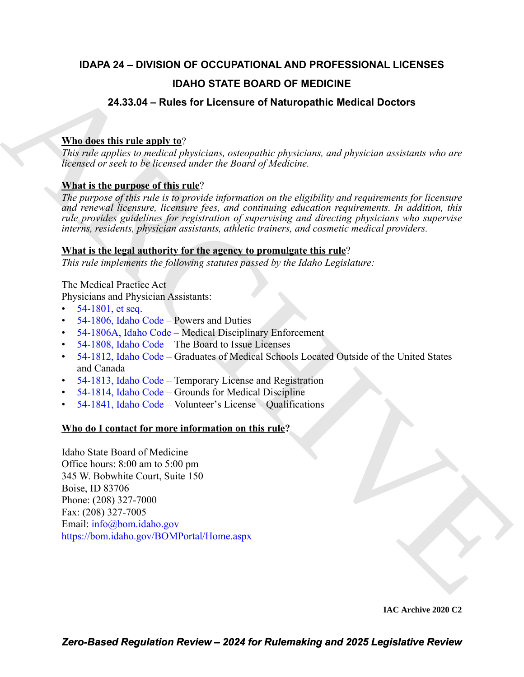# **IDAPA 24 – DIVISION OF OCCUPATIONAL AND PROFESSIONAL LICENSES**

# **IDAHO STATE BOARD OF MEDICINE**

# **24.33.04 – Rules for Licensure of Naturopathic Medical Doctors**

# **Who does this rule apply to**?

*This rule applies to medical physicians, osteopathic physicians, and physician assistants who are licensed or seek to be licensed under the Board of Medicine.*

# **What is the purpose of this rule**?

*The purpose of this rule is to provide information on the eligibility and requirements for licensure and renewal licensure, licensure fees, and continuing education requirements. In addition, this rule provides guidelines for registration of supervising and directing physicians who supervise interns, residents, physician assistants, athletic trainers, and cosmetic medical providers.*

# **What is the legal authority for the agency to promulgate this rule**?

*This rule implements the following statutes passed by the Idaho Legislature:*

The Medical Practice Act

Physicians and Physician Assistants:

- 54-1801, et seq.
- 54-1806, Idaho Code Powers and Duties
- 54-1806A, Idaho Code Medical Disciplinary Enforcement
- 54-1808, Idaho Code The Board to Issue Licenses
- 54-1812, Idaho Code Graduates of Medical Schools Located Outside of the United States and Canada
- 54-1813, Idaho Code Temporary License and Registration
- 54-1814, Idaho Code Grounds for Medical Discipline
- 54-1841, Idaho Code Volunteer's License Qualifications

# **Who do I contact for more information on this rule?**

**EXAMPLE STATE BOARD OF MEDI[C](https://legislature.idaho.gov/statutesrules/idstat/Title54/T54CH18/SECT54-1806A/)INE**<br> **24.33.04 - Rules for Licensure of Naturopathic Medical Doctors**<br> **Mutdee this rule and the license of naturopathic Medical Doctors**<br>
This rule and the hydroxical physicians, *convenible* Idaho State Board of Medicine Office hours: 8:00 am to 5:00 pm 345 W. Bobwhite Court, Suite 150 Boise, ID 83706 Phone: (208) 327-7000 Fax: (208) 327-7005 Email: info@bom.idaho.gov https://bom.idaho.gov/BOMPortal/Home.aspx

**IAC Archive 2020 C2**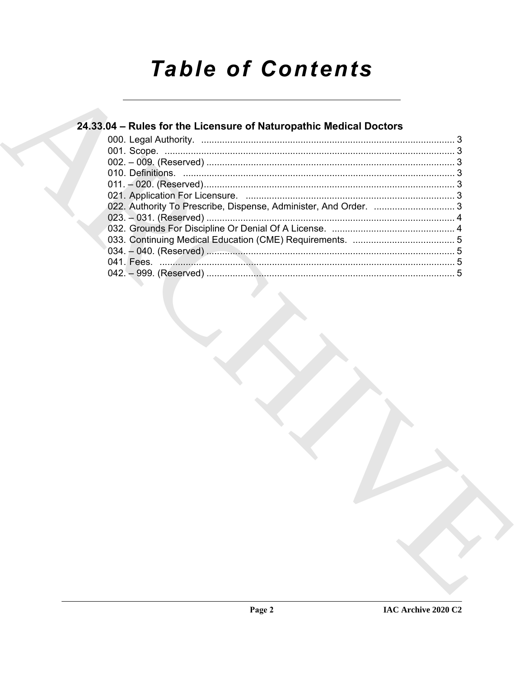# **Table of Contents**

# 24.33.04 - Rules for the Licensure of Naturopathic Medical Doctors

| 022. Authority To Prescribe, Dispense, Administer, And Order.  3 |
|------------------------------------------------------------------|
|                                                                  |
|                                                                  |
|                                                                  |
|                                                                  |
|                                                                  |
|                                                                  |
|                                                                  |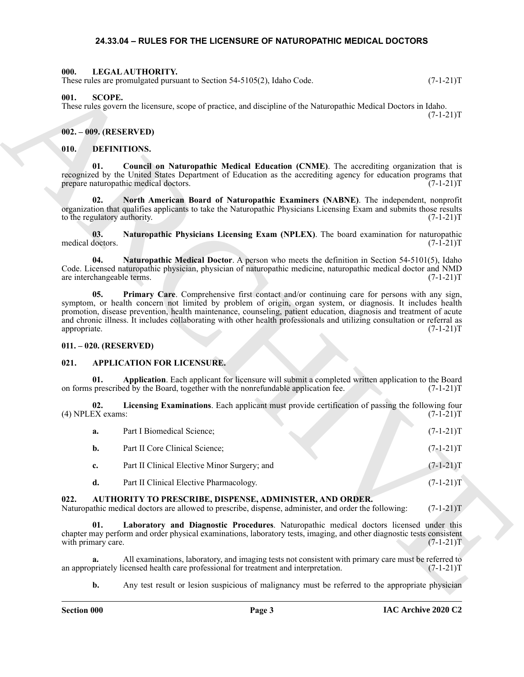#### <span id="page-2-19"></span>**24.33.04 – RULES FOR THE LICENSURE OF NATUROPATHIC MEDICAL DOCTORS**

#### <span id="page-2-2"></span><span id="page-2-1"></span><span id="page-2-0"></span>**000. LEGAL AUTHORITY.**

#### <span id="page-2-3"></span>**002. – 009. (RESERVED)**

#### <span id="page-2-17"></span><span id="page-2-16"></span><span id="page-2-14"></span><span id="page-2-13"></span><span id="page-2-4"></span>**010. DEFINITIONS.**

#### <span id="page-2-18"></span><span id="page-2-15"></span><span id="page-2-5"></span>**011. – 020. (RESERVED)**

#### <span id="page-2-10"></span><span id="page-2-9"></span><span id="page-2-8"></span><span id="page-2-6"></span>**021. APPLICATION FOR LICENSURE.**

|                                     | These rules are promulgated pursuant to Section $54-5105(2)$ , Idaho Code.                                                                                                                                                                                                                                                                                                                                                                                   | $(7-1-21)T$ |
|-------------------------------------|--------------------------------------------------------------------------------------------------------------------------------------------------------------------------------------------------------------------------------------------------------------------------------------------------------------------------------------------------------------------------------------------------------------------------------------------------------------|-------------|
| 001.<br><b>SCOPE.</b>               | These rules govern the licensure, scope of practice, and discipline of the Naturopathic Medical Doctors in Idaho.                                                                                                                                                                                                                                                                                                                                            | $(7-1-21)T$ |
| 002. - 009. (RESERVED)              |                                                                                                                                                                                                                                                                                                                                                                                                                                                              |             |
| 010.                                | DEFINITIONS.                                                                                                                                                                                                                                                                                                                                                                                                                                                 |             |
| 01.                                 | Council on Naturopathic Medical Education (CNME). The accrediting organization that is<br>recognized by the United States Department of Education as the accrediting agency for education programs that<br>prepare naturopathic medical doctors.                                                                                                                                                                                                             | $(7-1-21)T$ |
| 02.<br>to the regulatory authority. | North American Board of Naturopathic Examiners (NABNE). The independent, nonprofit<br>organization that qualifies applicants to take the Naturopathic Physicians Licensing Exam and submits those results                                                                                                                                                                                                                                                    | $(7-1-21)T$ |
| 03.<br>medical doctors.             | Naturopathic Physicians Licensing Exam (NPLEX). The board examination for naturopathic                                                                                                                                                                                                                                                                                                                                                                       | $(7-1-21)T$ |
| 04.<br>are interchangeable terms.   | Naturopathic Medical Doctor. A person who meets the definition in Section 54-5101(5), Idaho<br>Code. Licensed naturopathic physician, physician of naturopathic medicine, naturopathic medical doctor and NMD                                                                                                                                                                                                                                                | $(7-1-21)T$ |
| 05.<br>appropriate.                 | Primary Care. Comprehensive first contact and/or continuing care for persons with any sign,<br>symptom, or health concern not limited by problem of origin, organ system, or diagnosis. It includes health<br>promotion, disease prevention, health maintenance, counseling, patient education, diagnosis and treatment of acute<br>and chronic illness. It includes collaborating with other health professionals and utilizing consultation or referral as | $(7-1-21)T$ |
| $011. - 020.$ (RESERVED)            |                                                                                                                                                                                                                                                                                                                                                                                                                                                              |             |
| 021.                                | <b>APPLICATION FOR LICENSURE.</b>                                                                                                                                                                                                                                                                                                                                                                                                                            |             |
| 01.                                 | Application. Each applicant for licensure will submit a completed written application to the Board<br>on forms prescribed by the Board, together with the nonrefundable application fee.                                                                                                                                                                                                                                                                     | $(7-1-21)T$ |
| 02.<br>(4) NPLEX exams:             | Licensing Examinations. Each applicant must provide certification of passing the following four                                                                                                                                                                                                                                                                                                                                                              | $(7-1-21)T$ |
| a.                                  | Part I Biomedical Science;                                                                                                                                                                                                                                                                                                                                                                                                                                   | $(7-1-21)T$ |
| b.                                  | Part II Core Clinical Science;                                                                                                                                                                                                                                                                                                                                                                                                                               | $(7-1-21)T$ |
| c.                                  | Part II Clinical Elective Minor Surgery; and                                                                                                                                                                                                                                                                                                                                                                                                                 | $(7-1-21)T$ |
| d.                                  | Part II Clinical Elective Pharmacology.                                                                                                                                                                                                                                                                                                                                                                                                                      | $(7-1-21)T$ |
| 022.                                | AUTHORITY TO PRESCRIBE, DISPENSE, ADMINISTER, AND ORDER.<br>Naturopathic medical doctors are allowed to prescribe, dispense, administer, and order the following:                                                                                                                                                                                                                                                                                            | $(7-1-21)T$ |
| 01.<br>with primary care.           | Laboratory and Diagnostic Procedures. Naturopathic medical doctors licensed under this<br>chapter may perform and order physical examinations, laboratory tests, imaging, and other diagnostic tests consistent                                                                                                                                                                                                                                              | $(7-1-21)T$ |
| а.                                  | All examinations, laboratory, and imaging tests not consistent with primary care must be referred to<br>an appropriately licensed health care professional for treatment and interpretation.                                                                                                                                                                                                                                                                 | $(7-1-21)T$ |
| b.                                  | Any test result or lesion suspicious of malignancy must be referred to the appropriate physician                                                                                                                                                                                                                                                                                                                                                             |             |

#### <span id="page-2-12"></span><span id="page-2-11"></span><span id="page-2-7"></span>**022. AUTHORITY TO PRESCRIBE, DISPENSE, ADMINISTER, AND ORDER.**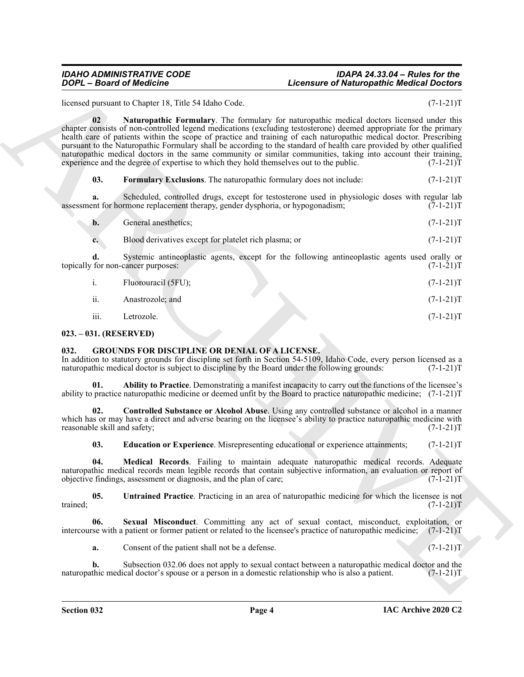#### *IDAHO ADMINISTRATIVE CODE IDAPA 24.33.04 – Rules for the*  Licensure of Naturopathic Medical Doctors

<span id="page-3-3"></span>licensed pursuant to Chapter 18, Title 54 Idaho Code. (7-1-21)T

*Control of Neutronia Control of Lietuvideon Control of Lietuvideon Control of Lietuvideon Control of Lietuvideon Control of Lietuvideon Control of Lietuvideon Control of Lietuvideon Control of Lietuvideon Control of Lie* **02 Naturopathic Formulary**. The formulary for naturopathic medical doctors licensed under this chapter consists of non-controlled legend medications (excluding testosterone) deemed appropriate for the primary health care of patients within the scope of practice and training of each naturopathic medical doctor. Prescribing pursuant to the Naturopathic Formulary shall be according to the standard of health care provided by other qualified naturopathic medical doctors in the same community or similar communities, taking into account their training, experience and the degree of expertise to which they hold themselves out to the public. (7-1-21) experience and the degree of expertise to which they hold themselves out to the public.

<span id="page-3-2"></span>**03. Formulary Exclusions**. The naturopathic formulary does not include:  $(7-1-21)$ T

**a.** Scheduled, controlled drugs, except for testosterone used in physiologic doses with regular lab ent for hormone replacement therapy, gender dysphoria, or hypogonadism; (7-1-21) assessment for hormone replacement therapy, gender dysphoria, or hypogonadism;

| General anesthetics:<br>b. | $(7-1-21)T$ |
|----------------------------|-------------|
|----------------------------|-------------|

**c.** Blood derivatives except for platelet rich plasma; or  $(7-1-21)$ T

**d.** Systemic antineoplastic agents, except for the following antineoplastic agents used orally or for non-cancer purposes:  $(7-1-21)T$ topically for non-cancer purposes:

|     | Fluorouracil (5FU); | $(7-1-21)T$ |
|-----|---------------------|-------------|
| ii. | Anastrozole; and    | $(7-1-21)T$ |

<span id="page-3-4"></span>iii. Letrozole. (7-1-21)T

#### <span id="page-3-0"></span>**023. – 031. (RESERVED)**

#### <span id="page-3-1"></span>**032. GROUNDS FOR DISCIPLINE OR DENIAL OF A LICENSE.**

In addition to statutory grounds for discipline set forth in Section 54-5109, Idaho Code, every person licensed as a naturopathic medical doctor is subject to discipline by the Board under the following grounds: (7-1-21)T

<span id="page-3-5"></span>**01. Ability to Practice**. Demonstrating a manifest incapacity to carry out the functions of the licensee's ability to practice naturopathic medicine or deemed unfit by the Board to practice naturopathic medicine; (7-1-21)T

**02. Controlled Substance or Alcohol Abuse**. Using any controlled substance or alcohol in a manner which has or may have a direct and adverse bearing on the licensee's ability to practice naturopathic medicine with reasonable skill and safety;  $(7-1-21)$ reasonable skill and safety;

<span id="page-3-10"></span><span id="page-3-8"></span><span id="page-3-7"></span><span id="page-3-6"></span>**03. Education or Experience**. Misrepresenting educational or experience attainments;  $(7-1-21)T$ 

**04. Medical Records**. Failing to maintain adequate naturopathic medical records. Adequate naturopathic medical records mean legible records that contain subjective information, an evaluation or report of objective findings, assessment or diagnosis, and the plan of care; (7-1-21) objective findings, assessment or diagnosis, and the plan of care;

**05. Untrained Practice**. Practicing in an area of naturopathic medicine for which the licensee is not trained;  $(7-1-21)T$ 

**06. Sexual Misconduct**. Committing any act of sexual contact, misconduct, exploitation, or intercourse with a patient or former patient or related to the licensee's practice of naturopathic medicine; (7-1-21)T

<span id="page-3-9"></span>**a.** Consent of the patient shall not be a defense. (7-1-21)T

**b.** Subsection 032.06 does not apply to sexual contact between a naturopathic medical doctor and the thic medical doctor's spouse or a person in a domestic relationship who is also a patient. (7-1-21) naturopathic medical doctor's spouse or a person in a domestic relationship who is also a patient.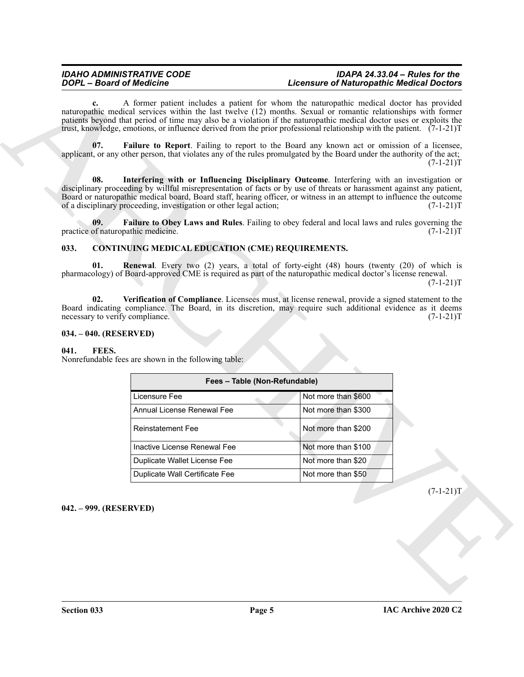### <span id="page-4-9"></span>*IDAHO ADMINISTRATIVE CODE IDAPA 24.33.04 – Rules for the*  **Licensure of Naturopathic Medical Doctors**

#### <span id="page-4-10"></span><span id="page-4-8"></span><span id="page-4-5"></span><span id="page-4-4"></span><span id="page-4-0"></span>**033. CONTINUING MEDICAL EDUCATION (CME) REQUIREMENTS.**

#### <span id="page-4-6"></span><span id="page-4-1"></span>**034. – 040. (RESERVED)**

#### <span id="page-4-7"></span><span id="page-4-2"></span>**041. FEES.**

|               | <b>DOPL</b> - Board of Medicine                                                                                                                                                                                                                                                                                                                                                                                                                                | <b>Licensure of Naturopathic Medical Doctors</b> |             |
|---------------|----------------------------------------------------------------------------------------------------------------------------------------------------------------------------------------------------------------------------------------------------------------------------------------------------------------------------------------------------------------------------------------------------------------------------------------------------------------|--------------------------------------------------|-------------|
|               | A former patient includes a patient for whom the naturopathic medical doctor has provided<br>naturopathic medical services within the last twelve (12) months. Sexual or romantic relationships with former<br>patients beyond that period of time may also be a violation if the naturopathic medical doctor uses or exploits the<br>trust, knowledge, emotions, or influence derived from the prior professional relationship with the patient. $(7-1-21)$ T |                                                  |             |
| 07.           | Failure to Report. Failing to report to the Board any known act or omission of a licensee,<br>applicant, or any other person, that violates any of the rules promulgated by the Board under the authority of the act;                                                                                                                                                                                                                                          |                                                  | $(7-1-21)T$ |
| 08.           | Interfering with or Influencing Disciplinary Outcome. Interfering with an investigation or<br>disciplinary proceeding by willful misrepresentation of facts or by use of threats or harassment against any patient,<br>Board or naturopathic medical board, Board staff, hearing officer, or witness in an attempt to influence the outcome<br>of a disciplinary proceeding, investigation or other legal action;                                              |                                                  | $(7-1-21)T$ |
| 09.           | Failure to Obey Laws and Rules. Failing to obey federal and local laws and rules governing the<br>practice of naturopathic medicine.                                                                                                                                                                                                                                                                                                                           |                                                  | $(7-1-21)T$ |
| 033.          | <b>CONTINUING MEDICAL EDUCATION (CME) REQUIREMENTS.</b>                                                                                                                                                                                                                                                                                                                                                                                                        |                                                  |             |
| 01.           | <b>Renewal</b> . Every two (2) years, a total of forty-eight (48) hours (twenty (20) of which is<br>pharmacology) of Board-approved CME is required as part of the naturopathic medical doctor's license renewal.                                                                                                                                                                                                                                              |                                                  | $(7-1-21)T$ |
| 02.           | Verification of Compliance. Licensees must, at license renewal, provide a signed statement to the<br>Board indicating compliance. The Board, in its discretion, may require such additional evidence as it deems<br>necessary to verify compliance.                                                                                                                                                                                                            |                                                  | $(7-1-21)T$ |
|               | 034. – 040. (RESERVED)                                                                                                                                                                                                                                                                                                                                                                                                                                         |                                                  |             |
|               |                                                                                                                                                                                                                                                                                                                                                                                                                                                                |                                                  |             |
| 041.<br>FEES. | Nonrefundable fees are shown in the following table:                                                                                                                                                                                                                                                                                                                                                                                                           |                                                  |             |
|               | Fees - Table (Non-Refundable)                                                                                                                                                                                                                                                                                                                                                                                                                                  |                                                  |             |
|               | Licensure Fee                                                                                                                                                                                                                                                                                                                                                                                                                                                  | Not more than \$600                              |             |
|               | Annual License Renewal Fee                                                                                                                                                                                                                                                                                                                                                                                                                                     | Not more than \$300                              |             |
|               | <b>Reinstatement Fee</b>                                                                                                                                                                                                                                                                                                                                                                                                                                       | Not more than \$200                              |             |
|               | Inactive License Renewal Fee                                                                                                                                                                                                                                                                                                                                                                                                                                   | Not more than \$100                              |             |
|               | Duplicate Wallet License Fee                                                                                                                                                                                                                                                                                                                                                                                                                                   | Not more than \$20                               |             |
|               | Duplicate Wall Certificate Fee                                                                                                                                                                                                                                                                                                                                                                                                                                 | Not more than \$50                               |             |
|               |                                                                                                                                                                                                                                                                                                                                                                                                                                                                |                                                  |             |
|               | 042. - 999. (RESERVED)                                                                                                                                                                                                                                                                                                                                                                                                                                         |                                                  |             |
|               |                                                                                                                                                                                                                                                                                                                                                                                                                                                                |                                                  | $(7-1-21)T$ |
|               |                                                                                                                                                                                                                                                                                                                                                                                                                                                                |                                                  |             |
|               |                                                                                                                                                                                                                                                                                                                                                                                                                                                                |                                                  |             |
|               |                                                                                                                                                                                                                                                                                                                                                                                                                                                                |                                                  |             |

#### <span id="page-4-3"></span>**042. – 999. (RESERVED)**